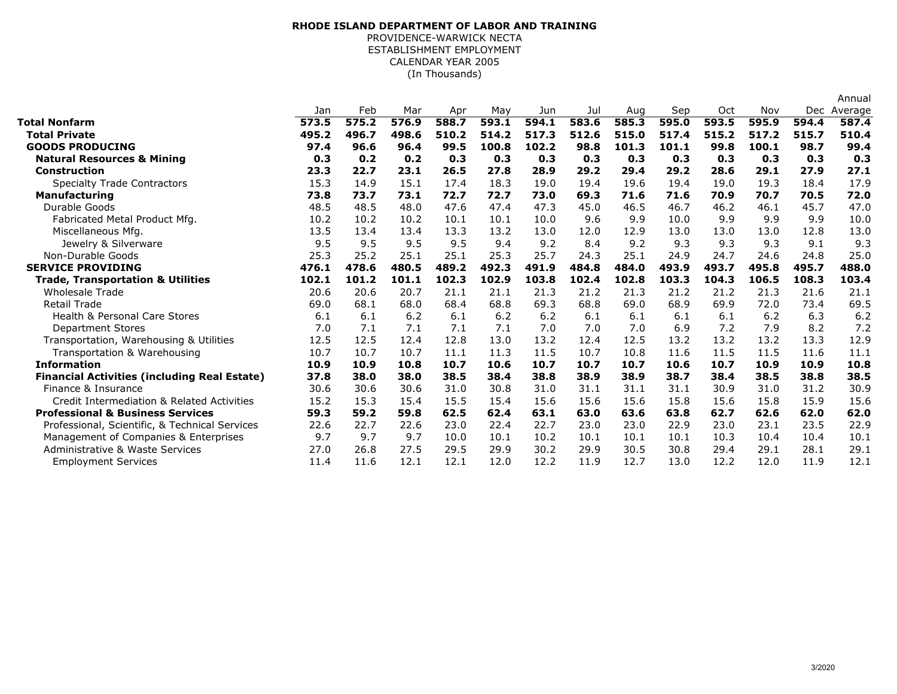## (In Thousands)**RHODE ISLAND DEPARTMENT OF LABOR AND TRAINING**PROVIDENCE-WARWICK NECTA ESTABLISHMENT EMPLOYMENTCALENDAR YEAR 2005

|                                                     |       |       |       |       |       |       |       |       |       |       |       |       | Annual      |
|-----------------------------------------------------|-------|-------|-------|-------|-------|-------|-------|-------|-------|-------|-------|-------|-------------|
|                                                     | Jan   | Feb   | Mar   | Apr   | May   | Jun   | Jul   | Aug   | Sep   | Oct   | Nov   |       | Dec Average |
| Total Nonfarm                                       | 573.5 | 575.2 | 576.9 | 588.7 | 593.1 | 594.1 | 583.6 | 585.3 | 595.0 | 593.5 | 595.9 | 594.4 | 587.4       |
| <b>Total Private</b>                                | 495.2 | 496.7 | 498.6 | 510.2 | 514.2 | 517.3 | 512.6 | 515.0 | 517.4 | 515.2 | 517.2 | 515.7 | 510.4       |
| <b>GOODS PRODUCING</b>                              | 97.4  | 96.6  | 96.4  | 99.5  | 100.8 | 102.2 | 98.8  | 101.3 | 101.1 | 99.8  | 100.1 | 98.7  | 99.4        |
| <b>Natural Resources &amp; Mining</b>               | 0.3   | 0.2   | 0.2   | 0.3   | 0.3   | 0.3   | 0.3   | 0.3   | 0.3   | 0.3   | 0.3   | 0.3   | 0.3         |
| Construction                                        | 23.3  | 22.7  | 23.1  | 26.5  | 27.8  | 28.9  | 29.2  | 29.4  | 29.2  | 28.6  | 29.1  | 27.9  | 27.1        |
| <b>Specialty Trade Contractors</b>                  | 15.3  | 14.9  | 15.1  | 17.4  | 18.3  | 19.0  | 19.4  | 19.6  | 19.4  | 19.0  | 19.3  | 18.4  | 17.9        |
| <b>Manufacturing</b>                                | 73.8  | 73.7  | 73.1  | 72.7  | 72.7  | 73.0  | 69.3  | 71.6  | 71.6  | 70.9  | 70.7  | 70.5  | 72.0        |
| Durable Goods                                       | 48.5  | 48.5  | 48.0  | 47.6  | 47.4  | 47.3  | 45.0  | 46.5  | 46.7  | 46.2  | 46.1  | 45.7  | 47.0        |
| Fabricated Metal Product Mfg.                       | 10.2  | 10.2  | 10.2  | 10.1  | 10.1  | 10.0  | 9.6   | 9.9   | 10.0  | 9.9   | 9.9   | 9.9   | 10.0        |
| Miscellaneous Mfg.                                  | 13.5  | 13.4  | 13.4  | 13.3  | 13.2  | 13.0  | 12.0  | 12.9  | 13.0  | 13.0  | 13.0  | 12.8  | 13.0        |
| Jewelry & Silverware                                | 9.5   | 9.5   | 9.5   | 9.5   | 9.4   | 9.2   | 8.4   | 9.2   | 9.3   | 9.3   | 9.3   | 9.1   | 9.3         |
| Non-Durable Goods                                   | 25.3  | 25.2  | 25.1  | 25.1  | 25.3  | 25.7  | 24.3  | 25.1  | 24.9  | 24.7  | 24.6  | 24.8  | 25.0        |
| <b>SERVICE PROVIDING</b>                            | 476.1 | 478.6 | 480.5 | 489.2 | 492.3 | 491.9 | 484.8 | 484.0 | 493.9 | 493.7 | 495.8 | 495.7 | 488.0       |
| <b>Trade, Transportation &amp; Utilities</b>        | 102.1 | 101.2 | 101.1 | 102.3 | 102.9 | 103.8 | 102.4 | 102.8 | 103.3 | 104.3 | 106.5 | 108.3 | 103.4       |
| <b>Wholesale Trade</b>                              | 20.6  | 20.6  | 20.7  | 21.1  | 21.1  | 21.3  | 21.2  | 21.3  | 21.2  | 21.2  | 21.3  | 21.6  | 21.1        |
| <b>Retail Trade</b>                                 | 69.0  | 68.1  | 68.0  | 68.4  | 68.8  | 69.3  | 68.8  | 69.0  | 68.9  | 69.9  | 72.0  | 73.4  | 69.5        |
| <b>Health &amp; Personal Care Stores</b>            | 6.1   | 6.1   | 6.2   | 6.1   | 6.2   | 6.2   | 6.1   | 6.1   | 6.1   | 6.1   | 6.2   | 6.3   | 6.2         |
| <b>Department Stores</b>                            | 7.0   | 7.1   | 7.1   | 7.1   | 7.1   | 7.0   | 7.0   | 7.0   | 6.9   | 7.2   | 7.9   | 8.2   | 7.2         |
| Transportation, Warehousing & Utilities             | 12.5  | 12.5  | 12.4  | 12.8  | 13.0  | 13.2  | 12.4  | 12.5  | 13.2  | 13.2  | 13.2  | 13.3  | 12.9        |
| Transportation & Warehousing                        | 10.7  | 10.7  | 10.7  | 11.1  | 11.3  | 11.5  | 10.7  | 10.8  | 11.6  | 11.5  | 11.5  | 11.6  | 11.1        |
| <b>Information</b>                                  | 10.9  | 10.9  | 10.8  | 10.7  | 10.6  | 10.7  | 10.7  | 10.7  | 10.6  | 10.7  | 10.9  | 10.9  | 10.8        |
| <b>Financial Activities (including Real Estate)</b> | 37.8  | 38.0  | 38.0  | 38.5  | 38.4  | 38.8  | 38.9  | 38.9  | 38.7  | 38.4  | 38.5  | 38.8  | 38.5        |
| Finance & Insurance                                 | 30.6  | 30.6  | 30.6  | 31.0  | 30.8  | 31.0  | 31.1  | 31.1  | 31.1  | 30.9  | 31.0  | 31.2  | 30.9        |
| Credit Intermediation & Related Activities          | 15.2  | 15.3  | 15.4  | 15.5  | 15.4  | 15.6  | 15.6  | 15.6  | 15.8  | 15.6  | 15.8  | 15.9  | 15.6        |
| <b>Professional &amp; Business Services</b>         | 59.3  | 59.2  | 59.8  | 62.5  | 62.4  | 63.1  | 63.0  | 63.6  | 63.8  | 62.7  | 62.6  | 62.0  | 62.0        |
| Professional, Scientific, & Technical Services      | 22.6  | 22.7  | 22.6  | 23.0  | 22.4  | 22.7  | 23.0  | 23.0  | 22.9  | 23.0  | 23.1  | 23.5  | 22.9        |
| Management of Companies & Enterprises               | 9.7   | 9.7   | 9.7   | 10.0  | 10.1  | 10.2  | 10.1  | 10.1  | 10.1  | 10.3  | 10.4  | 10.4  | 10.1        |
| Administrative & Waste Services                     | 27.0  | 26.8  | 27.5  | 29.5  | 29.9  | 30.2  | 29.9  | 30.5  | 30.8  | 29.4  | 29.1  | 28.1  | 29.1        |
| <b>Employment Services</b>                          | 11.4  | 11.6  | 12.1  | 12.1  | 12.0  | 12.2  | 11.9  | 12.7  | 13.0  | 12.2  | 12.0  | 11.9  | 12.1        |
|                                                     |       |       |       |       |       |       |       |       |       |       |       |       |             |